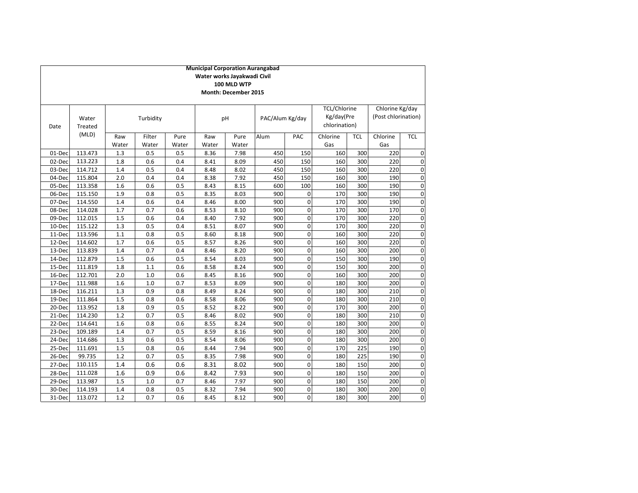|        | <b>Municipal Corporation Aurangabad</b>    |              |              |              |               |                             |                 |                  |               |            |                     |             |
|--------|--------------------------------------------|--------------|--------------|--------------|---------------|-----------------------------|-----------------|------------------|---------------|------------|---------------------|-------------|
|        | Water works Jayakwadi Civil<br>100 MLD WTP |              |              |              |               |                             |                 |                  |               |            |                     |             |
|        |                                            |              |              |              |               | <b>Month: December 2015</b> |                 |                  |               |            |                     |             |
|        |                                            |              |              |              |               |                             |                 |                  |               |            |                     |             |
|        |                                            |              |              |              |               |                             |                 |                  | TCL/Chlorine  |            | Chlorine Kg/day     |             |
|        | Water                                      |              | Turbidity    |              |               | pH                          | PAC/Alum Kg/day |                  | Kg/day(Pre    |            | (Post chlorination) |             |
| Date   | Treated                                    |              |              |              |               |                             |                 |                  | chlorination) |            |                     |             |
|        | (MLD)                                      |              |              |              |               |                             |                 |                  |               |            |                     |             |
|        |                                            | Raw          | Filter       | Pure         | Raw           | Pure                        | Alum            | PAC              | Chlorine      | <b>TCL</b> | Chlorine            | <b>TCL</b>  |
| 01-Dec | 113.473                                    | Water<br>1.3 | Water<br>0.5 | Water<br>0.5 | Water<br>8.36 | Water<br>7.98               | 450             | 150              | Gas<br>160    | 300        | Gas<br>220          | O           |
| 02-Dec | 113.223                                    | 1.8          | 0.6          | 0.4          | 8.41          | 8.09                        | 450             | 150              | 160           | 300        | 220                 |             |
| 03-Dec | 114.712                                    | 1.4          | 0.5          | 0.4          | 8.48          | 8.02                        | 450             | 150              | 160           | 300        | 220                 | O<br>O      |
| 04-Dec | 115.804                                    | 2.0          | 0.4          | 0.4          | 8.38          | 7.92                        | 450             | 150              | 160           | 300        | 190                 | 0           |
| 05-Dec | 113.358                                    | 1.6          | 0.6          | 0.5          | 8.43          | 8.15                        | 600             | 100              | 160           | 300        | 190                 | O           |
| 06-Dec | 115.150                                    | 1.9          | 0.8          | 0.5          | 8.35          | 8.03                        | 900             | $\boldsymbol{0}$ | 170           | 300        | 190                 | O           |
| 07-Dec | 114.550                                    | 1.4          | 0.6          | 0.4          | 8.46          | 8.00                        | 900             | $\mathbf 0$      | 170           | 300        | 190                 | $\mathbf 0$ |
| 08-Dec | 114.028                                    | 1.7          | 0.7          | 0.6          | 8.53          | 8.10                        | 900             | $\mathbf 0$      | 170           | 300        | 170                 | $\mathbf 0$ |
| 09-Dec | 112.015                                    | 1.5          | 0.6          | 0.4          | 8.40          | 7.92                        | 900             | $\mathbf 0$      | 170           | 300        | 220                 | O           |
| 10-Dec | 115.122                                    | 1.3          | 0.5          | 0.4          | 8.51          | 8.07                        | 900             | $\mathbf 0$      | 170           | 300        | 220                 | O           |
| 11-Dec | 113.596                                    | 1.1          | 0.8          | 0.5          | 8.60          | 8.18                        | 900             | $\mathbf 0$      | 160           | 300        | 220                 | O           |
| 12-Dec | 114.602                                    | 1.7          | 0.6          | 0.5          | 8.57          | 8.26                        | 900             | $\mathbf 0$      | 160           | 300        | 220                 | O           |
| 13-Dec | 113.839                                    | 1.4          | 0.7          | 0.4          | 8.46          | 8.20                        | 900             | $\mathbf 0$      | 160           | 300        | 200                 | O           |
| 14-Dec | 112.879                                    | 1.5          | 0.6          | 0.5          | 8.54          | 8.03                        | 900             | $\mathbf 0$      | 150           | 300        | 190                 | O           |
| 15-Dec | 111.819                                    | 1.8          | 1.1          | 0.6          | 8.58          | 8.24                        | 900             | $\mathbf 0$      | 150           | 300        | 200                 | O           |
| 16-Dec | 112.701                                    | 2.0          | 1.0          | 0.6          | 8.45          | 8.16                        | 900             | $\mathbf 0$      | 160           | 300        | 200                 | $\mathbf 0$ |
| 17-Dec | 111.988                                    | 1.6          | 1.0          | 0.7          | 8.53          | 8.09                        | 900             | $\mathbf 0$      | 180           | 300        | 200                 | $\mathbf 0$ |
| 18-Dec | 116.211                                    | 1.3          | 0.9          | 0.8          | 8.49          | 8.24                        | 900             | $\mathbf 0$      | 180           | 300        | 210                 | O           |
| 19-Dec | 111.864                                    | 1.5          | 0.8          | 0.6          | 8.58          | 8.06                        | 900             | $\mathbf 0$      | 180           | 300        | 210                 | 0           |
| 20-Dec | 113.952                                    | 1.8          | 0.9          | 0.5          | 8.52          | 8.22                        | 900             | $\mathbf 0$      | 170           | 300        | 200                 | O           |
| 21-Dec | 114.230                                    | 1.2          | 0.7          | 0.5          | 8.46          | 8.02                        | 900             | $\mathbf 0$      | 180           | 300        | 210                 | 0           |
| 22-Dec | 114.641                                    | 1.6          | 0.8          | 0.6          | 8.55          | 8.24                        | 900             | $\mathbf 0$      | 180           | 300        | 200                 | $\mathbf 0$ |
| 23-Dec | 109.189                                    | 1.4          | 0.7          | 0.5          | 8.59          | 8.16                        | 900             | $\mathbf 0$      | 180           | 300        | 200                 | 0           |
| 24-Dec | 114.686                                    | 1.3          | 0.6          | 0.5          | 8.54          | 8.06                        | 900             | $\mathbf 0$      | 180           | 300        | 200                 | O           |
| 25-Dec | 111.691                                    | 1.5          | 0.8          | 0.6          | 8.44          | 7.94                        | 900             | $\mathbf 0$      | 170           | 225        | 190                 | O           |
| 26-Dec | 99.735                                     | 1.2          | 0.7          | 0.5          | 8.35          | 7.98                        | 900             | $\mathbf 0$      | 180           | 225        | 190                 | $\mathbf 0$ |
| 27-Dec | 110.115                                    | 1.4          | 0.6          | 0.6          | 8.31          | 8.02                        | 900             | $\mathbf 0$      | 180           | 150        | 200                 | $\mathbf 0$ |
| 28-Dec | 111.028                                    | 1.6          | 0.9          | 0.6          | 8.42          | 7.93                        | 900             | $\mathbf 0$      | 180           | 150        | 200                 | $\mathbf 0$ |
| 29-Dec | 113.987                                    | 1.5          | 1.0          | 0.7          | 8.46          | 7.97                        | 900             | $\mathbf 0$      | 180           | 150        | 200                 | O           |
| 30-Dec | 114.193                                    | 1.4          | 0.8          | 0.5          | 8.32          | 7.94                        | 900             | $\mathbf 0$      | 180           | 300        | 200                 | 0           |
| 31-Dec | 113.072                                    | 1.2          | 0.7          | 0.6          | 8.45          | 8.12                        | 900             | $\mathbf 0$      | 180           | 300        | 200                 | $\mathbf 0$ |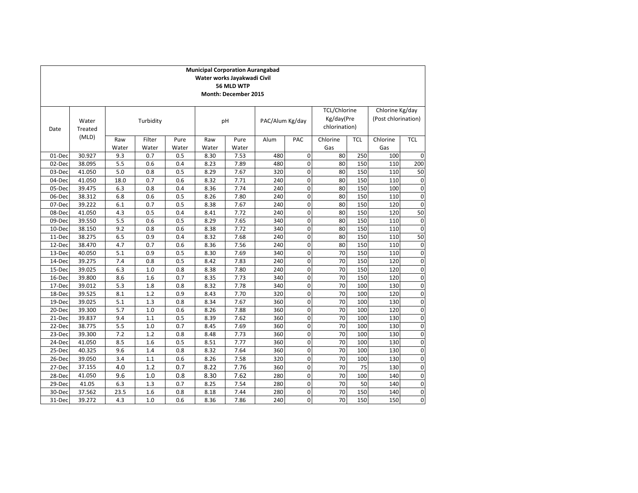|        |                  |              |                 |               | <b>Municipal Corporation Aurangabad</b> | Water works Jayakwadi Civil<br>56 MLD WTP<br>Month: December 2015 |      |                  |                                                    |            |                                        |             |
|--------|------------------|--------------|-----------------|---------------|-----------------------------------------|-------------------------------------------------------------------|------|------------------|----------------------------------------------------|------------|----------------------------------------|-------------|
| Date   | Water<br>Treated |              | Turbidity       |               |                                         | pH                                                                |      | PAC/Alum Kg/day  | <b>TCL/Chlorine</b><br>Kg/day(Pre<br>chlorination) |            | Chlorine Kg/day<br>(Post chlorination) |             |
|        | (MLD)            | Raw<br>Water | Filter<br>Water | Pure<br>Water | Raw<br>Water                            | Pure<br>Water                                                     | Alum | PAC              | Chlorine<br>Gas                                    | <b>TCL</b> | Chlorine<br>Gas                        | <b>TCL</b>  |
| 01-Dec | 30.927           | 9.3          | 0.7             | 0.5           | 8.30                                    | 7.53                                                              | 480  | $\mathbf 0$      | 80                                                 | 250        | 100                                    | $\mathbf 0$ |
| 02-Dec | 38.095           | 5.5          | 0.6             | 0.4           | 8.23                                    | 7.89                                                              | 480  | $\mathbf 0$      | 80                                                 | 150        | 110                                    | 200         |
| 03-Dec | 41.050           | 5.0          | 0.8             | 0.5           | 8.29                                    | 7.67                                                              | 320  | $\boldsymbol{0}$ | 80                                                 | 150        | 110                                    | 50          |
| 04-Dec | 41.050           | 18.0         | 0.7             | 0.6           | 8.32                                    | 7.71                                                              | 240  | $\mathbf 0$      | 80                                                 | 150        | 110                                    | O           |
| 05-Dec | 39.475           | 6.3          | 0.8             | 0.4           | 8.36                                    | 7.74                                                              | 240  | $\mathbf 0$      | 80                                                 | 150        | 100                                    | O           |
| 06-Dec | 38.312           | 6.8          | 0.6             | 0.5           | 8.26                                    | 7.80                                                              | 240  | $\mathbf 0$      | 80                                                 | 150        | 110                                    | $\mathbf 0$ |
| 07-Dec | 39.222           | 6.1          | 0.7             | 0.5           | 8.38                                    | 7.67                                                              | 240  | $\mathbf 0$      | 80                                                 | 150        | 120                                    | O           |
| 08-Dec | 41.050           | 4.3          | 0.5             | 0.4           | 8.41                                    | 7.72                                                              | 240  | $\mathbf 0$      | 80                                                 | 150        | 120                                    | 50          |
| 09-Dec | 39.550           | 5.5          | 0.6             | 0.5           | 8.29                                    | 7.65                                                              | 340  | $\mathbf 0$      | 80                                                 | 150        | 110                                    | O           |
| 10-Dec | 38.150           | 9.2          | 0.8             | 0.6           | 8.38                                    | 7.72                                                              | 340  | $\mathbf 0$      | 80                                                 | 150        | 110                                    | 0           |
| 11-Dec | 38.275           | 6.5          | 0.9             | 0.4           | 8.32                                    | 7.68                                                              | 240  | $\mathbf 0$      | 80                                                 | 150        | 110                                    | 50          |
| 12-Dec | 38.470           | 4.7          | 0.7             | 0.6           | 8.36                                    | 7.56                                                              | 240  | $\boldsymbol{0}$ | 80                                                 | 150        | 110                                    | 0           |
| 13-Dec | 40.050           | 5.1          | 0.9             | 0.5           | 8.30                                    | 7.69                                                              | 340  | $\mathbf 0$      | 70                                                 | 150        | 110                                    | $\mathbf 0$ |
| 14-Dec | 39.275           | 7.4          | 0.8             | 0.5           | 8.42                                    | 7.83                                                              | 240  | $\mathbf 0$      | 70                                                 | 150        | 120                                    | O           |
| 15-Dec | 39.025           | 6.3          | 1.0             | 0.8           | 8.38                                    | 7.80                                                              | 240  | $\boldsymbol{0}$ | 70                                                 | 150        | 120                                    | O           |
| 16-Dec | 39.800           | 8.6          | 1.6             | 0.7           | 8.35                                    | 7.73                                                              | 340  | $\boldsymbol{0}$ | 70                                                 | 150        | 120                                    | O           |
| 17-Dec | 39.012           | 5.3          | 1.8             | 0.8           | 8.32                                    | 7.78                                                              | 340  | $\mathbf 0$      | 70                                                 | 100        | 130                                    | 0           |
| 18-Dec | 39.525           | 8.1          | 1.2             | 0.9           | 8.43                                    | 7.70                                                              | 320  | $\mathbf 0$      | 70                                                 | 100        | 120                                    | 0           |
| 19-Dec | 39.025           | 5.1          | 1.3             | 0.8           | 8.34                                    | 7.67                                                              | 360  | $\mathbf 0$      | 70                                                 | 100        | 130                                    | O           |
| 20-Dec | 39.300           | 5.7          | 1.0             | 0.6           | 8.26                                    | 7.88                                                              | 360  | $\mathbf 0$      | 70                                                 | 100        | 120                                    | 0           |
| 21-Dec | 39.837           | 9.4          | 1.1             | 0.5           | 8.39                                    | 7.62                                                              | 360  | $\mathbf 0$      | 70                                                 | 100        | 130                                    | 0           |
| 22-Dec | 38.775           | 5.5          | 1.0             | 0.7           | 8.45                                    | 7.69                                                              | 360  | $\mathbf 0$      | 70                                                 | 100        | 130                                    | $\mathbf 0$ |
| 23-Dec | 39.300           | 7.2          | 1.2             | 0.8           | 8.48                                    | 7.73                                                              | 360  | $\mathbf 0$      | 70                                                 | 100        | 130                                    | $\mathbf 0$ |
| 24-Dec | 41.050           | 8.5          | 1.6             | 0.5           | 8.51                                    | 7.77                                                              | 360  | $\pmb{0}$        | 70                                                 | 100        | 130                                    | O           |
| 25-Dec | 40.325           | 9.6          | 1.4             | 0.8           | 8.32                                    | 7.64                                                              | 360  | $\mathbf 0$      | 70                                                 | 100        | 130                                    | 0           |
| 26-Dec | 39.050           | 3.4          | 1.1             | 0.6           | 8.26                                    | 7.58                                                              | 320  | $\mathbf 0$      | 70                                                 | 100        | 130                                    | O           |
| 27-Dec | 37.155           | 4.0          | 1.2             | 0.7           | 8.22                                    | 7.76                                                              | 360  | $\mathbf 0$      | 70                                                 | 75         | 130                                    | 0           |
| 28-Dec | 41.050           | 9.6          | 1.0             | 0.8           | 8.30                                    | 7.62                                                              | 280  | $\mathbf 0$      | 70                                                 | 100        | 140                                    | 0           |
| 29-Dec | 41.05            | 6.3          | 1.3             | 0.7           | 8.25                                    | 7.54                                                              | 280  | $\mathbf 0$      | 70                                                 | 50         | 140                                    | 0           |
| 30-Dec | 37.562           | 23.5         | 1.6             | 0.8           | 8.18                                    | 7.44                                                              | 280  | $\Omega$         | 70                                                 | 150        | 140                                    | 0           |
| 31-Dec | 39.272           | 4.3          | 1.0             | 0.6           | 8.36                                    | 7.86                                                              | 240  | $\Omega$         | 70                                                 | 150        | 150                                    | $\mathbf 0$ |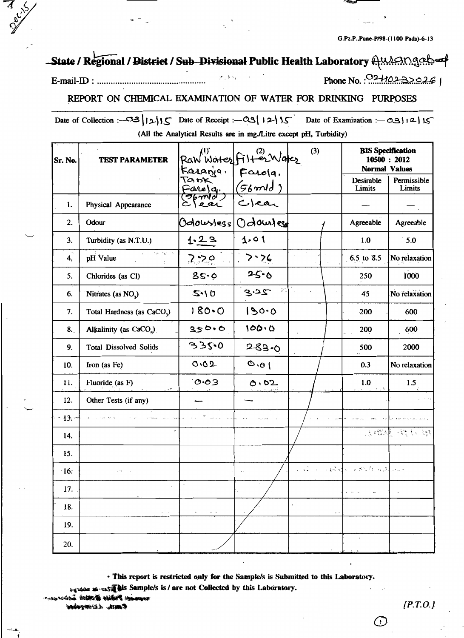G.Pz.P.,Pune-P/98-(1100 Pads)-6-13

# State / Regional / District / Sub Divisional Public Health Laboratory Autongebor

#### رح∳رال

Phone No.:  $0.240232926$ 

#### REPORT ON CHEMICAL EXAMINATION OF WATER FOR DRINKING PURPOSES

Date of Collection :- 38 | 12 | 15 Date of Receipt :- 28 | 12 | 15 Date of Examination :- 03 | 12 | 15 (All the Analytical Results are in mg./Litre except pH, Turbidity)

| Sr. No.      | <b>TEST PARAMETER</b>                  | Raw Water Filter Water<br>Karanja, Farola,<br>Farola, (56 mid)<br>Clear Clear |            | (3)                                           | <b>BIS Specification</b><br>10500: 2012<br><b>Normal Values</b> |                       |
|--------------|----------------------------------------|-------------------------------------------------------------------------------|------------|-----------------------------------------------|-----------------------------------------------------------------|-----------------------|
|              |                                        |                                                                               |            |                                               | Desirable<br>Limits                                             | Permissible<br>Limits |
| 1.           | Physical Appearance                    |                                                                               |            |                                               |                                                                 |                       |
| 2.           | Odour                                  | Odoustess!                                                                    | Odouzles   |                                               | Agreeable                                                       | Agreeable             |
| 3.           | Turbidity (as N.T.U.)                  | 1.23                                                                          | 1.01       |                                               | 1.0                                                             | $\degree$ 5.0         |
| 4.           | the fight is a<br>pH Value             | 2.50                                                                          | 7.76       |                                               | 6.5 to 8.5                                                      | No relaxation         |
| 5.           | Chlorides (as Cl)                      | 8s.0                                                                          | 25.6       |                                               | 250                                                             | 1000                  |
| 6.           | Nitrates (as NO <sub>2</sub> )         | 5.10                                                                          | 3.25<br>įn | $\frac{1}{4}$                                 | 45                                                              | No relaxation         |
| 7.           | Total Hardness (as CaCO <sub>3</sub> ) | $180 - C$                                                                     | 130.0      |                                               | 200                                                             | 600                   |
| 8.           | Alkalinity (as CaCO <sub>3</sub> )     | 350.0                                                                         | 100.0      |                                               | 200                                                             | 600                   |
| 9.           | <b>Total Dissolved Solids</b>          | 335.0                                                                         | $283 - 0$  |                                               | 500                                                             | 2000                  |
| 10.          | Iron (as Fe)                           | 0.02                                                                          | 0.01       |                                               | 0.3                                                             | No relaxation         |
| 11.          | Fluoride (as F)<br>, +                 | 0.03                                                                          | 0.02       |                                               | 1.0                                                             | 1.5                   |
| 12.          | Other Tests (if any)                   |                                                                               |            |                                               |                                                                 |                       |
| $-13. -$     |                                        |                                                                               |            |                                               |                                                                 |                       |
| 14.          | çk,                                    |                                                                               |            |                                               |                                                                 | 法缴制 绕针 锐              |
| 15.          |                                        |                                                                               |            |                                               |                                                                 |                       |
| $\cdot 16$ : |                                        |                                                                               | ă.         | and a substantial of the substantial property |                                                                 |                       |
| 17.          |                                        |                                                                               |            |                                               | $\sim$ $\sim$ $\sim$                                            |                       |
| 18.          | $\epsilon$                             | $\ddot{\phantom{0}}$<br>$\sim$ $ \sim$                                        |            | ×,<br>$\sim$ $\sim$                           |                                                                 | $\sim$ $\sim$         |
| 19.          |                                        |                                                                               |            |                                               |                                                                 |                       |
| 20.          |                                        |                                                                               |            |                                               | $\cdot$                                                         |                       |

· This report is restricted only for the Sample/s is Submitted to this Laboratory.

**Antifaction** Sample/s is / are not Collected by this Laboratory.

interdible in

Caust. LE meridan

 $-2.14$ 

 $[*P.T.O.*]$ 

( i 1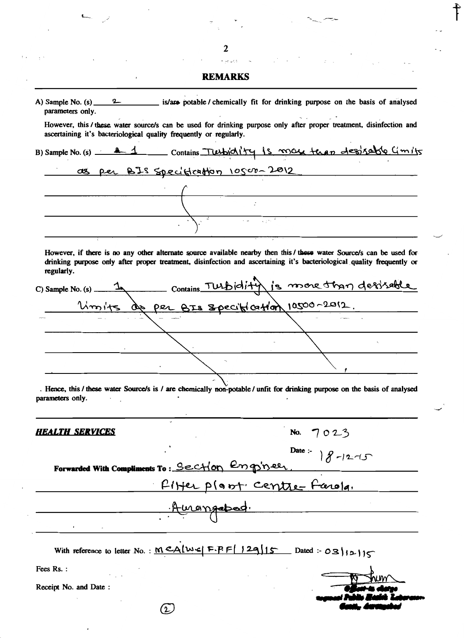|                        | <b>REMARKS</b>                                                                                                                                                                                           |                                                                                                                                                                                                                                                |
|------------------------|----------------------------------------------------------------------------------------------------------------------------------------------------------------------------------------------------------|------------------------------------------------------------------------------------------------------------------------------------------------------------------------------------------------------------------------------------------------|
| parameters only.       |                                                                                                                                                                                                          | A) Sample No. $(s)$ 2 is/are potable / chemically fit for drinking purpose on the basis of analysed                                                                                                                                            |
|                        | ascertaining it's bacteriological quality frequently or regularly.                                                                                                                                       | However, this / these water source/s can be used for drinking purpose only after proper treatment, disinfection and                                                                                                                            |
|                        |                                                                                                                                                                                                          | B) Sample No. (s) <u>21</u> Contains Turbichity is more terms desolvedble Cimits                                                                                                                                                               |
|                        |                                                                                                                                                                                                          | as per BIS specification 10500-2012                                                                                                                                                                                                            |
|                        |                                                                                                                                                                                                          |                                                                                                                                                                                                                                                |
|                        |                                                                                                                                                                                                          |                                                                                                                                                                                                                                                |
|                        | $\sum_{i=1}^{\lfloor \frac{n}{2}\rfloor} \frac{1}{\sqrt{1-\left(\frac{n}{2}\right)^{2}+\left(\frac{n}{2}\right)^{2}}} \leq \frac{1}{\sqrt{1-\left(\frac{n}{2}\right)^{2}+\left(\frac{n}{2}\right)^{2}}}$ |                                                                                                                                                                                                                                                |
| regularly.             |                                                                                                                                                                                                          | However, if there is no any other alternate source available nearby then this / these water Source/s can be used for<br>drinking purpose only after proper treatment, disinfection and ascertaining it's bacteriological quality frequently or |
|                        |                                                                                                                                                                                                          | C) Sample No. (s) 1 Contains TULBIdity is more than desisable                                                                                                                                                                                  |
|                        |                                                                                                                                                                                                          | Umits de per BIS Specification 10500-2012.                                                                                                                                                                                                     |
|                        |                                                                                                                                                                                                          |                                                                                                                                                                                                                                                |
|                        |                                                                                                                                                                                                          |                                                                                                                                                                                                                                                |
|                        |                                                                                                                                                                                                          |                                                                                                                                                                                                                                                |
|                        |                                                                                                                                                                                                          |                                                                                                                                                                                                                                                |
| parameters only.       |                                                                                                                                                                                                          | . Hence, this / these water Source/s is / are chemically non-potable / unfit for drinking purpose on the basis of analysed                                                                                                                     |
| <u>HEALTH SERVICES</u> |                                                                                                                                                                                                          | No. $7023$                                                                                                                                                                                                                                     |
|                        |                                                                                                                                                                                                          | $8 - 12 - 15$<br>Date :-                                                                                                                                                                                                                       |
|                        | Forwarded With Compliments To: Section Engineer                                                                                                                                                          |                                                                                                                                                                                                                                                |
|                        |                                                                                                                                                                                                          | Fifter plant centre-farola.                                                                                                                                                                                                                    |
|                        | <u>Amongabad.</u>                                                                                                                                                                                        |                                                                                                                                                                                                                                                |
|                        |                                                                                                                                                                                                          | With reference to letter No.: $MCA[WE F.F.F  129115$ Dated: $OS 1213$                                                                                                                                                                          |
| Fees Rs.:              |                                                                                                                                                                                                          |                                                                                                                                                                                                                                                |
| Receipt No. and Date:  |                                                                                                                                                                                                          |                                                                                                                                                                                                                                                |
|                        | (2)                                                                                                                                                                                                      |                                                                                                                                                                                                                                                |
|                        |                                                                                                                                                                                                          |                                                                                                                                                                                                                                                |

 $\label{eq:2.1} \begin{array}{ccccc} \mathcal{P} & & \mathcal{P} & & \mathcal{P} & \mathcal{P} \\ & & \ddots & & \ddots & \ddots \\ & & & \ddots & & \ddots & \ddots \end{array}$ 

 $\overline{\mathbf{c}}$ 

 $\ddot{\phantom{0}}$ 

 $\ddot{ }$ 

 $\bar{ }$ 

ł,

 $\dagger$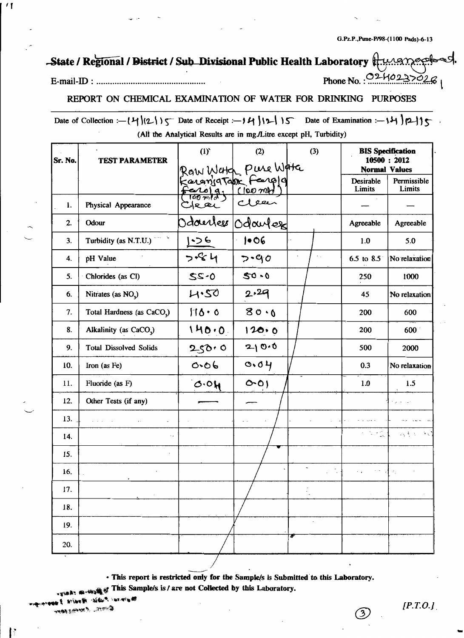Phone No.: 02402

## -State / Regional / District / Sub Divisional Public Health Laboratory

#### 

 $^{\prime}$  [

#### REPORT ON CHEMICAL EXAMINATION OF WATER FOR DRINKING PURPOSES

Date of Collection :-  $(4)(2))$   $\zeta$  Date of Receipt :-  $14)(2)(3)$  Date of Examination :-  $14)(2)(3)$ (All the Analytical Results are in mg./Litre except pH, Turbidity)

| Sr. No. | <b>TEST PARAMETER</b>                  | (1)                                                            | (2)               | (3)                     | <b>BIS</b> Specification<br>10500: 2012<br><b>Normal Values</b> |                       |  |
|---------|----------------------------------------|----------------------------------------------------------------|-------------------|-------------------------|-----------------------------------------------------------------|-----------------------|--|
|         |                                        | Row Work Pure Work<br>KaranjaTan Feargig<br>Ferrola; (100 mil) |                   |                         | Desirable<br>Limits                                             | Permissible<br>Limits |  |
| 1.      | Physical Appearance                    | Clear                                                          | متعقل             |                         |                                                                 |                       |  |
| 2.      | Odour                                  |                                                                | Odourless Odoutes |                         | Agreeable                                                       | Agreeable             |  |
| 3.      | Turbidity (as N.T.U.)                  | 1.56                                                           | 106               |                         | 1.0                                                             | 5.0                   |  |
| 4.      | pH Value                               | $7 - 84$                                                       | $7 - 90$          | $\epsilon_{\rm{in}}$    | 6.5 to $8.5$                                                    | No relaxation         |  |
| 5.      | Chlorides (as Cl)                      | 0.22                                                           | $50 - 0$          |                         | 250                                                             | 1000                  |  |
| 6.      | Nitrates (as NO <sub>2</sub> )         | 4.50                                                           | 2.29              |                         | 45                                                              | No relaxation         |  |
| 7.      | Total Hardness (as CaCO <sub>3</sub> ) | 110.0                                                          | 80.0              |                         | 200                                                             | 600                   |  |
| 8.      | Alkalinity (as CaCO <sub>v</sub> )     | 140.0                                                          | 120.0             |                         | 200                                                             | 600                   |  |
| 9.      | <b>Total Dissolved Solids</b>          | 250.0                                                          | 210.0             |                         | 500                                                             | 2000                  |  |
| 10.     | Iron (as Fe)                           | 0.06                                                           | 0.04              |                         | 0.3                                                             | No relaxation         |  |
| 11.     | Fluoride (as F)                        | 0.04                                                           | O(O)              |                         | 1.0                                                             | 1.5                   |  |
| 12.     | Other Tests (if any)                   |                                                                |                   |                         |                                                                 |                       |  |
| 13.     | $-1 - 1 - 1$                           |                                                                |                   |                         |                                                                 |                       |  |
| 14.     |                                        |                                                                |                   |                         | r na                                                            | 动手术 医绿                |  |
| 15.     |                                        |                                                                |                   |                         |                                                                 |                       |  |
| 16.     |                                        |                                                                |                   | $\tilde{\phantom{a}}$ . | $\sim$ $\sim$<br>$\epsilon$ . $\epsilon$                        | $z_{\rm{p}}$          |  |
| 17.     |                                        |                                                                |                   | $\ddot{\cdot}$          |                                                                 |                       |  |
| 18.     |                                        |                                                                |                   |                         |                                                                 |                       |  |
| 19.     |                                        |                                                                |                   | $\cdot$                 |                                                                 |                       |  |
| 20.     |                                        |                                                                |                   |                         |                                                                 |                       |  |

· This report is restricted only for the Sample/s is Submitted to this Laboratory.

at This Sample/s is / are not Collected by this Laboratory.

**San atta di** 

mat rea

 $[P.T.O.]$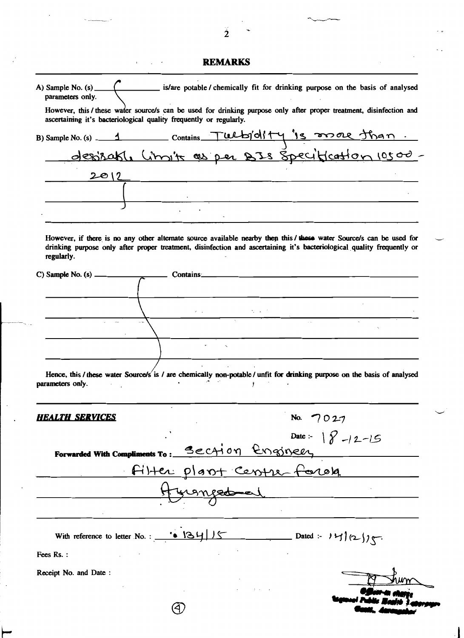| <b>REMARKS</b> |  |  |
|----------------|--|--|
|                |  |  |

| parameters only.                                                   |        | is/are potable/ chemically fit for drinking purpose on the basis of analysed                                                                                                                                                                                                                                                                                                                                                                                   |  |
|--------------------------------------------------------------------|--------|----------------------------------------------------------------------------------------------------------------------------------------------------------------------------------------------------------------------------------------------------------------------------------------------------------------------------------------------------------------------------------------------------------------------------------------------------------------|--|
| ascertaining it's bacteriological quality frequently or regularly. |        | However, this / these water source/s can be used for drinking purpose only after proper treatment, disinfection and                                                                                                                                                                                                                                                                                                                                            |  |
|                                                                    |        |                                                                                                                                                                                                                                                                                                                                                                                                                                                                |  |
|                                                                    |        | B) Sample No. (s) 1 Contains Tulby'dity 's more than.                                                                                                                                                                                                                                                                                                                                                                                                          |  |
| 2012                                                               |        |                                                                                                                                                                                                                                                                                                                                                                                                                                                                |  |
|                                                                    |        | <u> 1980 - Johann Barbara, martin amerikan basal dan berasal dan berasal dalam basal dalam basal dan berasal dan</u>                                                                                                                                                                                                                                                                                                                                           |  |
|                                                                    |        |                                                                                                                                                                                                                                                                                                                                                                                                                                                                |  |
| regularly.                                                         |        | However, if there is no any other alternate source available nearby then this / these water Source/s can be used for<br>drinking purpose only after proper treatment, disinfection and ascertaining it's bacteriological quality frequently or                                                                                                                                                                                                                 |  |
|                                                                    |        |                                                                                                                                                                                                                                                                                                                                                                                                                                                                |  |
|                                                                    |        |                                                                                                                                                                                                                                                                                                                                                                                                                                                                |  |
|                                                                    |        | $\mathcal{L}(\mathcal{A}) = \left\{ \begin{array}{ll} \mathcal{L}(\mathcal{A}) & \text{if} \; \mathcal{L}(\mathcal{A}) = \mathcal{L}(\mathcal{A}) \; \text{if} \; \mathcal{L}(\mathcal{A}) = \mathcal{L}(\mathcal{A}) \; \text{if} \; \mathcal{L}(\mathcal{A}) = \mathcal{L}(\mathcal{A}) \; \text{if} \; \mathcal{L}(\mathcal{A}) = \mathcal{L}(\mathcal{A}) \; \text{if} \; \mathcal{L}(\mathcal{A}) = \mathcal{L}(\mathcal{A}) \; \text{if} \; \mathcal{L}$ |  |
|                                                                    |        |                                                                                                                                                                                                                                                                                                                                                                                                                                                                |  |
|                                                                    |        |                                                                                                                                                                                                                                                                                                                                                                                                                                                                |  |
| parameters only.                                                   | Ť      | Hence, this / these water Source/s' is / are chemically non-potable / unfit for drinking purpose on the basis of analysed                                                                                                                                                                                                                                                                                                                                      |  |
| HEALTH_SERVICES                                                    |        | 7027                                                                                                                                                                                                                                                                                                                                                                                                                                                           |  |
|                                                                    |        | Date :- $8 - 12 - 15$                                                                                                                                                                                                                                                                                                                                                                                                                                          |  |
|                                                                    |        | Forwarded With Compliments To: Section Engineer                                                                                                                                                                                                                                                                                                                                                                                                                |  |
|                                                                    |        |                                                                                                                                                                                                                                                                                                                                                                                                                                                                |  |
|                                                                    |        |                                                                                                                                                                                                                                                                                                                                                                                                                                                                |  |
|                                                                    | ronged | Filter plant Centre forole                                                                                                                                                                                                                                                                                                                                                                                                                                     |  |
|                                                                    |        |                                                                                                                                                                                                                                                                                                                                                                                                                                                                |  |
|                                                                    |        |                                                                                                                                                                                                                                                                                                                                                                                                                                                                |  |
| Fees Rs.:                                                          |        |                                                                                                                                                                                                                                                                                                                                                                                                                                                                |  |
| Receipt No. and Date:                                              |        |                                                                                                                                                                                                                                                                                                                                                                                                                                                                |  |
|                                                                    |        |                                                                                                                                                                                                                                                                                                                                                                                                                                                                |  |

 $\tilde{\tilde{2}}$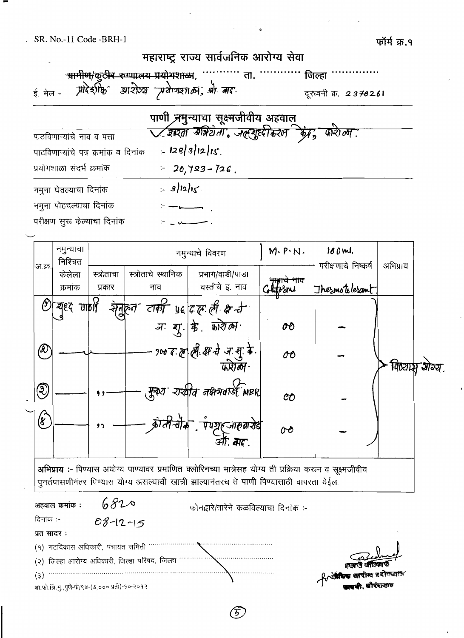शा.फो.झि.मु.,पुणे-र्पा/९४-(७,००० प्रती)-१०-२०१२

| महाराष्ट्र राज्य सार्वजनिक आरोग्य सेवा                                     |                                                                                   |                       |  |  |  |  |  |  |  |
|----------------------------------------------------------------------------|-----------------------------------------------------------------------------------|-----------------------|--|--|--|--|--|--|--|
| <del>- ग्रामीण/कुटीर रुग्णालय प्रयोगशाळा</del> , ''''''''''' ता.<br>जिल्हा |                                                                                   |                       |  |  |  |  |  |  |  |
| ई. मेल - ग्रीदेशीर्फ आरोग्य प्रवेगकाल, श्री. मद.                           |                                                                                   | दूरध्वनी क्र. 2370261 |  |  |  |  |  |  |  |
|                                                                            | पाणी <del>,त्रगु</del> न्याचा सूक्ष्मजीवीय अहवाल्                                 |                       |  |  |  |  |  |  |  |
| पाठविणाऱ्यांचे नाव व पत्ता                                                 | <u>V श्रश्ता <sup>ब्रा</sup>में</u> टोता, जल्ल्युदृष्टीकरल किंद्र, फारी <i>ला</i> |                       |  |  |  |  |  |  |  |
| पाठविणाऱ्यांचे पत्र क्रमांक व दिनांक                                       | $= 128/3/12/15$                                                                   |                       |  |  |  |  |  |  |  |
| प्रयोगशाळा संदर्भ क्रमांक                                                  | $-20,723-726$ .                                                                   |                       |  |  |  |  |  |  |  |
| नमुना घेतल्याचा दिनांक                                                     | $= 3/12/15$                                                                       |                       |  |  |  |  |  |  |  |
| नमुना पोहचल्याचा दिनांक                                                    |                                                                                   |                       |  |  |  |  |  |  |  |
| परीक्षण सरू केल्याचा दिनांक                                                |                                                                                   |                       |  |  |  |  |  |  |  |

|                                                                                                                                                                                                       |                         | नमुन्याचा<br>निश्चित |            |                    |  | M. P. N.<br>नमुन्याचे विवरण                      |       | 100 ml.<br>परीक्षणाचे निष्कर्ष | अभिप्राय |                    |
|-------------------------------------------------------------------------------------------------------------------------------------------------------------------------------------------------------|-------------------------|----------------------|------------|--------------------|--|--------------------------------------------------|-------|--------------------------------|----------|--------------------|
|                                                                                                                                                                                                       | अ.क्र                   | केलेला               | स्त्रोताचा | स्त्रोताचे स्थानिक |  | प्रभाग/वाडी/पाडा                                 | न्नाव |                                |          |                    |
|                                                                                                                                                                                                       |                         | क्रमांक              | प्रकार     | नाव                |  | वस्तीचे इ. नाव                                   |       | Thesmotolesant                 |          |                    |
|                                                                                                                                                                                                       | (၁                      | यृष्ट गाणी           |            |                    |  | रेंगुहुल तकी प्रदक्षि करें                       |       |                                |          |                    |
|                                                                                                                                                                                                       |                         |                      |            |                    |  |                                                  | œ     |                                |          |                    |
|                                                                                                                                                                                                       | இ                       |                      |            |                    |  | 900 द ल ली क्ष ने ज शु के                        | OO    |                                |          | पिष्ट्याञ्च आर्ग्य |
|                                                                                                                                                                                                       | ②                       |                      | 99         |                    |  | मुक्य राखीत नक्षत्रगर्श MBR                      | OO    |                                |          |                    |
|                                                                                                                                                                                                       | $\widehat{\mathscr{C}}$ |                      | ,,         |                    |  | काली चीक, पेण्यूहजाहबारोड़<br> -<br>  अप्ति, बाद | oo    |                                |          |                    |
| अभिप्राय :- पिण्यास अयोग्य पाण्यावर प्रमाणित क्लोरिनच्या मात्रेसह योग्य ती प्रक्रिया करून व सूक्ष्मजीवीय<br>पूनर्तपासणीनंतर पिण्यास योग्य असल्याची खात्री झाल्यानंतरच ते पाणी पिण्यासाठी वापरता येईल. |                         |                      |            |                    |  |                                                  |       |                                |          |                    |
| 6820<br>अहवाल क्रमांक :<br>फोनद्वारे/तारेने कळविल्याचा दिनांक :-                                                                                                                                      |                         |                      |            |                    |  |                                                  |       |                                |          |                    |
| दिनांक :-<br>$08 - 12 - 15$                                                                                                                                                                           |                         |                      |            |                    |  |                                                  |       |                                |          |                    |
| प्रत सादर:                                                                                                                                                                                            |                         |                      |            |                    |  |                                                  |       |                                |          |                    |
| (१) गटविकास अधिकारी, पंचायत समिती                                                                                                                                                                     |                         |                      |            |                    |  |                                                  |       |                                |          |                    |
| (२) जिल्हा आरोग्य अधिकारी, जिल्हा परिषद, जिल्हा                                                                                                                                                       |                         |                      |            |                    |  |                                                  |       |                                |          |                    |
|                                                                                                                                                                                                       | (3)                     |                      |            |                    |  |                                                  |       | री परिष्य अपीस्य बजोजवाल       |          |                    |

 $\widehat{5}$ 

frida ল্লাই বিষয়া কৰি বিষয়া হৈছে বিষয়া হৈছে বিষয়া হৈছে বিষয়া হৈছে বিষয়া হৈছে বিষয়া হৈছে বিষয়া হৈছে বিষয়া হৈ<br>প্ৰতিষ্ঠা হৈছে বিষয়া হৈছে বিষয়া হৈছে বিষয়া হৈছে বিষয়া হৈছে বিষয়া হৈছে বিষয়া হৈছে বিষয়া হৈছে বিষয়া হৈছে **काकी, धौरंपा**लाण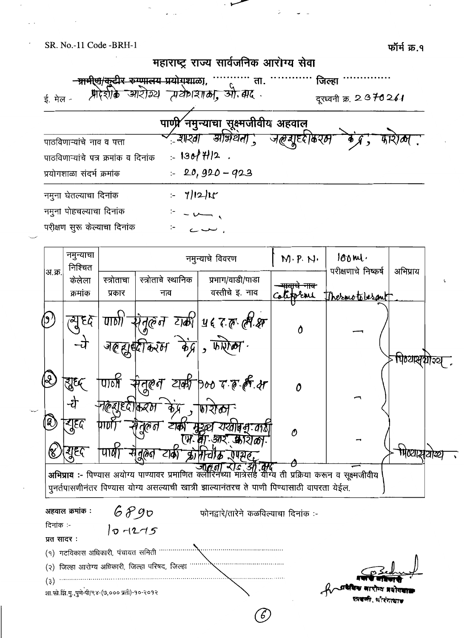SR. No.-11 Code -BRH-1



|                         | नमुन्याचा<br>निश्चित |                                               |                                                 | नमुन्याचे विवरण                                                                                                                                                                                         | $M \cdot P \cdot N \cdot$ | $100m1$ .<br>परीक्षणाचे निष्कर्ष |            |  |
|-------------------------|----------------------|-----------------------------------------------|-------------------------------------------------|---------------------------------------------------------------------------------------------------------------------------------------------------------------------------------------------------------|---------------------------|----------------------------------|------------|--|
| अ.क्र.                  | केलेला               | स्त्रोताचा                                    | स्त्रोताचे स्थानिक                              | प्रभाग/वाडी/पाडा                                                                                                                                                                                        |                           |                                  | अभिप्राय   |  |
|                         | क्रमांक              | प्रकार                                        | नाव                                             | वस्तीचे इ. नाव                                                                                                                                                                                          | orni                      | Thermotobergnt                   |            |  |
|                         | ब्युद्द              | U                                             |                                                 | योतुरुंन टाकी यह रक् लीक्ष                                                                                                                                                                              | Ô                         |                                  |            |  |
| R                       | शुद्ध                | पार्वो                                        | जल्ह्युक्ष्मिकरण केंद्र। फर्फेल'                | सेतूल् <i>न टाकी</i> poo र ह <i>ही क्ष</i>                                                                                                                                                              |                           |                                  | पिठ्यासुका |  |
| $\left[ 3\right]$       | -रो<br>ट्यूदृद       | <u>नह्ह्य</u> ृष्ट्योक्तव्यभ                  | िर्ग<br>टाका                                    | <i>যায়</i> োদ্ব দেৱী<br><b>ARC</b>                                                                                                                                                                     | 0                         |                                  |            |  |
|                         | गुद्द                | पाष                                           | dଡିଗ<br>てあ                                      | (भ. वा. आर. काराका.<br>क्रोमेन्गिक रणग्नेह,                                                                                                                                                             | Θ                         |                                  | पिष्यासचोख |  |
|                         |                      |                                               |                                                 | अभिप्राय :- पिण्यास अयोग्य पाण्यावर प्रमाणित क्लीरिनेच्या मात्रेसहे योग्य ती प्रक्रिया करून व सूक्ष्मजीवीय<br>पुनर्तपासणीनंतर पिण्यास योग्य असल्याची खात्री झाल्यानंतरच ते पाणी पिण्यासाठी वापरता येईल. |                           |                                  |            |  |
| दिनांक :-<br>प्रत सादर: | अहवाल क्रमांक :      | 6890<br>$\sigma$ $-1275$                      |                                                 | फोनद्वारे/तारेने कळविल्याचा दिनांक :-                                                                                                                                                                   |                           |                                  |            |  |
|                         |                      | (१) गटविकास अधिकारी, पंचायत समिती             |                                                 |                                                                                                                                                                                                         |                           |                                  |            |  |
|                         |                      |                                               | (२) जिल्हा आरोग्य अधिकारी, जिल्हा परिषद, जिल्हा |                                                                                                                                                                                                         |                           |                                  |            |  |
| (3)                     |                      | शा.फो.झि.मु.,पुणे-पी/९४-(७,००० प्रती)-१०-२०१२ |                                                 |                                                                                                                                                                                                         |                           |                                  |            |  |
|                         |                      |                                               |                                                 | 6)                                                                                                                                                                                                      |                           |                                  |            |  |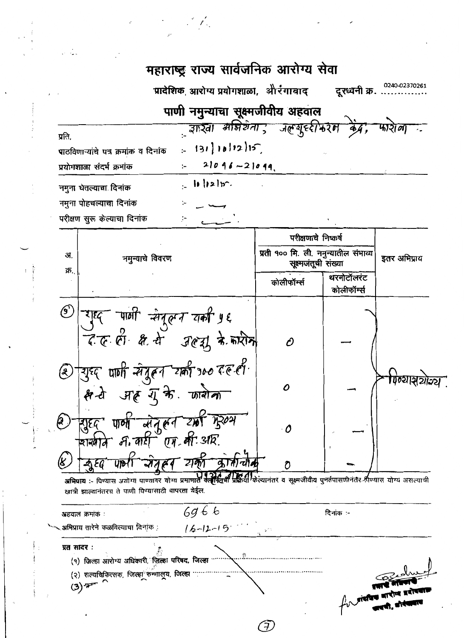### महाराष्ट्र राज्य सार्वजनिक आरोग्य सेवा 0240-02370261 प्रादेशिक, आरोग्य प्रयोगशाळा, औरंगाबाद दूरध्वनी क्र. पाणी नमुन्याचा सूक्ष्मजीवीय अहवाल ्जास्ता मन्निर्थना ; जल्गुरुरीर्रुरम केंद्र, फारोला : प्रति.  $131 | 18 | 12 | 15$ पाठविणाऱ्यांचे पत्र क्रमांक व दिनांक  $21096 - 21099$ प्रयोगशाळा संदर्भ क्रमांक  $\| \cdot \|$  $\| \cdot \|$ नमुना घेतल्याचा दिनांक नमुना पोहचल्याचा दिनांक परीक्षण सुरू केल्याचा दिनांक परीक्षणाचे निष्कर्ष प्रती १०० मि. ली. नमुन्यातील संभाव्य अ. नमुन्याचे विवरण इतर अभिप्राय सूक्ष्मजंतूची संख्या क्र. थरमोटॉलरंट कोलीफॉर्म्स कोलीफॉर्म्स  $\circledcirc$ ऱ्याद पार्णी संदलन वकी ५६ दल ही क्षे से उल्यू के करीन Ô 2 शुध्द पाणी सेतूलन खर्की १०० दल ही

शुद्द पार्ण लेतुरून क्री मुख्य  $\bigcirc$  $\boldsymbol{\theta}$ शखाने म. बारी एम. ली. अपि. जेतहा यका कोतीचीत न्य दृ  $UP<sub>1</sub>$ n प्रक्रिया केल्यानंतर व सूक्ष्मजीवीय पुनर्तपासणीनंतर विण्यास योग्य असल्याची अभिप्राय :- पिण्यास अयोग्य पाण्यावर योग्य प्रमाणात क्लोरिनचे खात्री झाल्यानंतरच ते पाणी पिण्यासाठी वापरता येईल.

 $\Omega$ 

क्ष वे अहम्युक्ते कारोना

गिव्यासयोन्य

 $6966$ दिनांक :-अहवाल क्रमांक : ,अभिप्राय तारेने कळविल्याचा दिनांक :  $16 - 12 - 15$ प्रत सादर: ................. (१) जिल्हा आरोग्य अधिकारी, जिल्हा परिषद, जिल्हा .......... (२) शल्यचिकित्सक, जिल्हा रुग्णालूय, जिल्हा ...  $(3)$   $\overline{r}$ 

(F)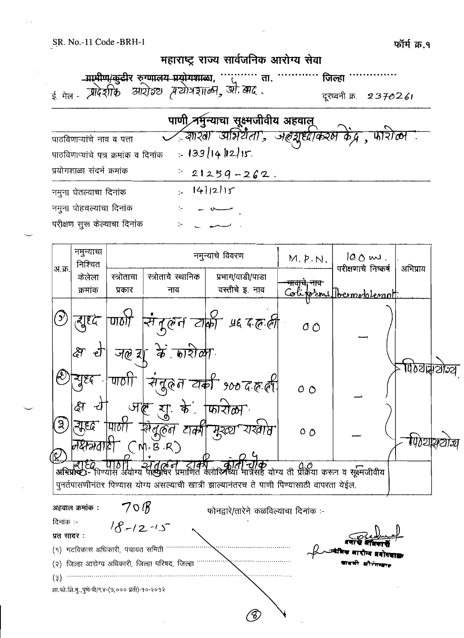SR. No.-11 Code -BRH-1

णिय्यस्थाय



न्युदृ .<br>संदुहन यकी ९०० द.ह.ही पाठो  $\circ$   $\circ$ अहू यू. के. कारोला ৱি ग्रह्द सिंदूलन टार्की मृश्व्य যাহনাম <u>ბ ტ</u>  $\frac{1}{2}$ — हो Eq UIDI) से तुरुंने टॉकी वु<br>अभिप्राप्य- पिण्यास अयोग्य पाण्यावर प्रमाणित क्लोरिनन 11**4>**<br>सह योग्य ती प्रक्रिया करून व सूक्ष्मजीवीय

पुनर्तपासणीनंतर पिण्यास योग्य असल्याची खात्री झाल्यानंतरच ते पाणी पिण्यासाठी वापरता येईल.

 $70B$ अहवाल क्रमांक : फोनद्वारे/तारेने कळविल्याचा दिनांक :-दिनांक :- $18 - 12 - 15$ प्रत सादर: (१) गटविकास अधिकारी, पंचायत समिती (२) जिल्हा आरोग्य अधिकारी, जिल्हा परिषद, जिल्हा  $(3)$ शा.फो.झि.मु.,पुणे-पी/९४-(७,००० प्रती)-१०-२०१२ 8,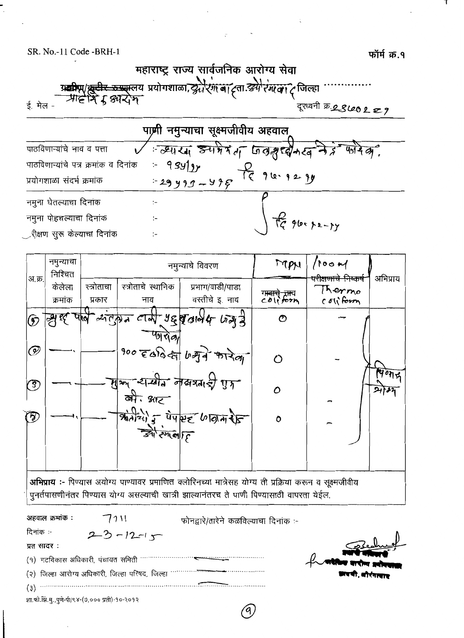SR. No.-11 Code -BRH-1



|                | नमुन्याचा<br>निश्चित                                                                                     |                      |                                | नमुन्याचे विवरण                                                                           | MAN           | 100 M                                                |          |  |  |
|----------------|----------------------------------------------------------------------------------------------------------|----------------------|--------------------------------|-------------------------------------------------------------------------------------------|---------------|------------------------------------------------------|----------|--|--|
| अ.क्र.         | केलेला<br>क्रमांक                                                                                        | स्त्रोताचा<br>प्रकार | स्त्रोताचे स्थानिक<br>नाव      | प्रभाग/वाडी/पाडा<br>वस्तीचे इ. नाव                                                        | CO(i forn     | <del>ररीक्षणाचे निष्कर्ष</del><br>Thermo<br>coliform | अभिप्राय |  |  |
|                |                                                                                                          |                      |                                |                                                                                           |               |                                                      |          |  |  |
| $\circledcirc$ |                                                                                                          |                      |                                | $\pi$ $\pi$ and $\pi$ and $\pi$ $\pi$                                                     | $\mathcal{O}$ |                                                      |          |  |  |
| $\circledcirc$ |                                                                                                          |                      |                                | 900 $\epsilon$ and $\epsilon_1$ baga man                                                  | Μ             |                                                      |          |  |  |
| $\binom{3}{2}$ |                                                                                                          |                      | बीः क्षाट                      | मेर्का सम्बीन लेखप्रताई गुर्ग                                                             |               |                                                      | 7077     |  |  |
| ⑦              |                                                                                                          |                      |                                | $\frac{1}{364241}$ = $\frac{1}{4485}$ (1944)                                              | Ô             |                                                      |          |  |  |
|                |                                                                                                          |                      | $\frac{1}{24}$ $\frac{1}{240}$ |                                                                                           |               |                                                      |          |  |  |
|                |                                                                                                          |                      |                                |                                                                                           |               |                                                      |          |  |  |
|                | अभिप्राय :- पिण्यास अयोग्य पाण्यावर प्रमाणित क्लोरिनच्या मात्रेसह योग्य ती प्रक्रिया करून व सूक्ष्मजीवीय |                      |                                |                                                                                           |               |                                                      |          |  |  |
|                |                                                                                                          |                      |                                | पुनर्तपासणीनंतर पिण्यास योग्य असल्याची खात्री झाल्यानंतरच ते पाणी पिण्यासाठी वापरता येईल. |               |                                                      |          |  |  |

| अहवाल क्रमाक :                                | 7111                                            | फोनद्वारे/तारेने कळविल्याचा दिनांक :- |                       |
|-----------------------------------------------|-------------------------------------------------|---------------------------------------|-----------------------|
| दिनांक :-                                     | $2-3-12-17$                                     |                                       |                       |
| प्रत सादर :                                   |                                                 |                                       | Bechwel               |
| (१) गटविकास अधिकारी, पंचायत समिती             |                                                 |                                       | $f$ atter and advance |
|                                               | (२) जिल्हा आरोग्य अधिकारी, जिल्हा परिषद, जिल्हा |                                       |                       |
| (3)                                           |                                                 |                                       |                       |
| शा.फो.झि.मु.,पुणे-पी/९४-(७,००० प्रती)-१०-२०१२ |                                                 |                                       |                       |

ή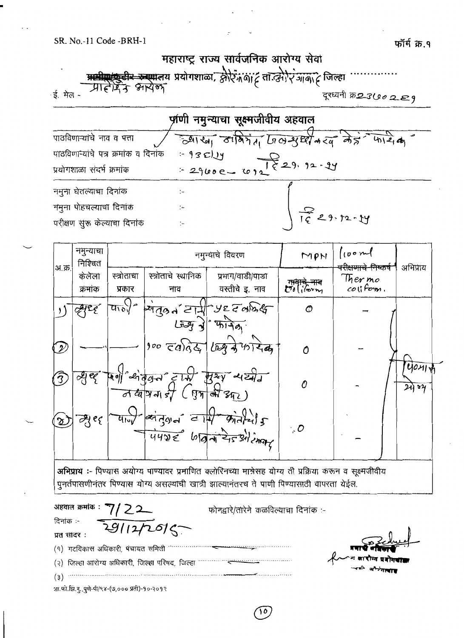

| र्णणी नमुन्याचा सूक्ष्मजीवीय अहवाल  |                                             |  |  |  |  |  |
|-------------------------------------|---------------------------------------------|--|--|--|--|--|
| पाठविणाऱ्यांचे नाव व पत्ता          | ज्याखा ठानियेता जिल सुष्टी करव नेहं कार्यका |  |  |  |  |  |
| पाठविणाऱ्याचे पत्र क्रमांक व दिनांक | $-930y$                                     |  |  |  |  |  |
| प्रयोगशाळा संदर्भ क्रमांक           | $-2900e-1229.92-99$                         |  |  |  |  |  |
| नमुना घेतल्याचा दिनांक              |                                             |  |  |  |  |  |
| नमुना पोहचल्याचा दिनांक             |                                             |  |  |  |  |  |
| परीक्षण सूरू केल्याचा दिनांक        | $\sqrt{\frac{2}{16}}$ $29.72 - 24$          |  |  |  |  |  |

| नमुन्याचा<br>निश्चित | नमुन्याचे विवरण      |                    | [100m]<br>MPN    |                                                                                                                                                                                                                                                                                                                                                                                                                                                                      | अभिप्राय                                                      |                                                   |
|----------------------|----------------------|--------------------|------------------|----------------------------------------------------------------------------------------------------------------------------------------------------------------------------------------------------------------------------------------------------------------------------------------------------------------------------------------------------------------------------------------------------------------------------------------------------------------------|---------------------------------------------------------------|---------------------------------------------------|
| केलेला               | स्त्रोताचा           | स्त्रोताचे स्थानिक | प्रभाग/वाडी/पाडा |                                                                                                                                                                                                                                                                                                                                                                                                                                                                      | Ther mo                                                       |                                                   |
|                      |                      |                    |                  |                                                                                                                                                                                                                                                                                                                                                                                                                                                                      |                                                               |                                                   |
|                      | $\frac{1}{2}$        |                    |                  | $\mathcal O$                                                                                                                                                                                                                                                                                                                                                                                                                                                         |                                                               |                                                   |
|                      |                      |                    |                  |                                                                                                                                                                                                                                                                                                                                                                                                                                                                      |                                                               |                                                   |
|                      |                      |                    |                  | $\mathcal O$                                                                                                                                                                                                                                                                                                                                                                                                                                                         |                                                               |                                                   |
| व्युब्द              |                      |                    |                  | $\mathcal O$                                                                                                                                                                                                                                                                                                                                                                                                                                                         |                                                               | 40117<br>24 84                                    |
| न्मुश्               | $4\overline{\omega}$ |                    |                  | $\cdot$ , O                                                                                                                                                                                                                                                                                                                                                                                                                                                          |                                                               |                                                   |
|                      | क्रमांक              | प्रकार             | नाव              | वस्तीचे इ. नाव<br>$\frac{1}{2}$ $\frac{1}{2}$ $\frac{1}{2}$ $\frac{1}{2}$ $\frac{1}{2}$ $\frac{1}{2}$ $\frac{1}{2}$ $\frac{1}{2}$ $\frac{1}{2}$ $\frac{1}{2}$ $\frac{1}{2}$ $\frac{1}{2}$ $\frac{1}{2}$ $\frac{1}{2}$ $\frac{1}{2}$ $\frac{1}{2}$ $\frac{1}{2}$ $\frac{1}{2}$ $\frac{1}{2}$ $\frac{1}{2}$ $\frac{1}{2}$ $\frac{1}{2}$<br>$900 \text{ GeV}$<br>पेणी सोवेजन टारी सुरुष सध्यी<br>$\frac{1}{2}$ and $\frac{1}{2}$ and $\frac{1}{2}$<br>4422 WRATZIS SHOW | ग <del>ाथाचे नाव</del><br>C <sup>7</sup> 0 ( <i>रे</i> ञ्य्यू | <del>परीक्षणाचे निष्</del> कर्ष<br>$col$ f $em$ . |

अभिप्राय :- पिण्यास अयोग्य पाण्यावर प्रमाणित क्लोरिनच्या मात्रेसह योग्य ती प्रक्रिया करून व सूक्ष्मजीवीय पुनर्तपासणीनंतर पिण्यास योग्य असल्याची खात्री झाल्यानंतरच ते पाणी पिण्यासाठी वापरता येईल.

अहवाल क्रमांक : ' 22 फोनद्वारे/तारेने कळविल्याचा दिनांक :-दिनांक :- $1127075$ प्रत सादर: (१) गटविकास अधिकारी, पंचायत समिती """"""""""""""  $(3)$ शा.फो.झि.मू.,पूर्ण-पी/९४-(७,००० प्रती)-१०-२०१२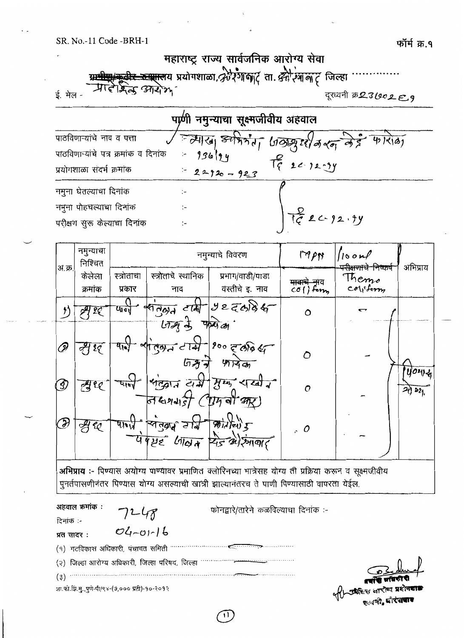

| पाणी नमुन्याचा सूक्ष्मजीवीय अहवाल    |                 |                                           |  |  |  |  |
|--------------------------------------|-----------------|-------------------------------------------|--|--|--|--|
| पाठविणाऱ्यांचे नाव व पत्ता           |                 | / न्यासा अपिर्माता जिस्टरी मरन लेई फारोका |  |  |  |  |
| पाठविणाऱ्यांचे पत्र क्रमांक व दिनांक | $-93694$        |                                           |  |  |  |  |
| प्रयोगशाळा संदर्भ क्रमांक            | $= 22920 - 923$ | $T_{9}^{2}$ 2 $(12.29)$                   |  |  |  |  |
| नमुना घेतल्याचा दिनांक               |                 |                                           |  |  |  |  |
| नमुना पोहचल्याचा दिनांक              |                 |                                           |  |  |  |  |
| परीक्षण सुरू केल्याचा दिनांक         |                 | $T_{C}$ $20.92.9y$                        |  |  |  |  |

| अ.क्र. | नमुन्याचा<br>निश्चित | नमुन्याचे विवरण      |                                                                 | M<br>$\int$ $\int$ $\sigma$ $\mu$                            |                                       | अभिप्राय                                           |          |
|--------|----------------------|----------------------|-----------------------------------------------------------------|--------------------------------------------------------------|---------------------------------------|----------------------------------------------------|----------|
|        | केलेला<br>क्रमांक    | स्त्रोताचा<br>प्रकार | स्त्रोताचे स्थानिक<br>नाव                                       | प्रभाग/वाडी/पाडा<br>वस्तीचे इ. नाव                           | <del>पावाचे ना</del> व<br>$co()$ form | <del>परीक्षणाचे निष्</del> कष<br>Themo<br>coliform |          |
|        | 29                   | पान                  | $\sqrt{1994}$<br>$\overline{arg\frac{1}{2}}$ and $\overline{e}$ | $cosh^{-1}322086$                                            | Ω                                     | ᠸᢇ                                                 |          |
| D      | 29                   |                      | ,<br>ल्युन तारी-<br>577                                         | $1000$ care of<br>47730                                      | $\mathcal O$                          |                                                    | $10 - 4$ |
| Í)     | 男臣                   | typ.                 | 54                                                              | Megit at guy state<br><i>শ্যি না প্রা</i>                    | $\mathcal{O}$                         |                                                    | 2021     |
| F      | LQ.<br>Ą             | 41 W                 | শিন্তৰ নাম                                                      | $\mathcal{B}$ ideu $\mathcal{F}$<br>पेपयह जिल्ल रिज्योरमाया? | $\cdot$ 0                             |                                                    |          |

अभिप्राय :- पिण्यास अयोग्य पाण्यावर प्रमाणित क्लोरिनच्या मात्रेसह योग्य ती प्रक्रिया करून व सूक्ष्मजीवीय पुनर्तपासणीनंतर पिण्यास योग्य असल्याची खात्री झाल्यानंतरच ते पाणी पिण्यासाठी वापरता येईल.

| अहवाल क्रमांक :                               | 7248             | फोनद्वारे/तारेने कळविल्याचा दिनांक :- |                                                |
|-----------------------------------------------|------------------|---------------------------------------|------------------------------------------------|
| दिनांक :-                                     |                  |                                       |                                                |
| प्रत सादर :                                   | $O(1 - O1 - 16)$ |                                       |                                                |
|                                               |                  |                                       |                                                |
|                                               |                  |                                       |                                                |
| (3)                                           |                  |                                       |                                                |
| शा.फो.झि.मु.,पुणे-पी/९४-(७,००० प्रती)-१०-२०१२ |                  |                                       | प्रबादी जयकारी ।<br>परिच्छा जारोग्य प्रशेषवाड़ |
|                                               |                  |                                       |                                                |

 $\mathbf{H}$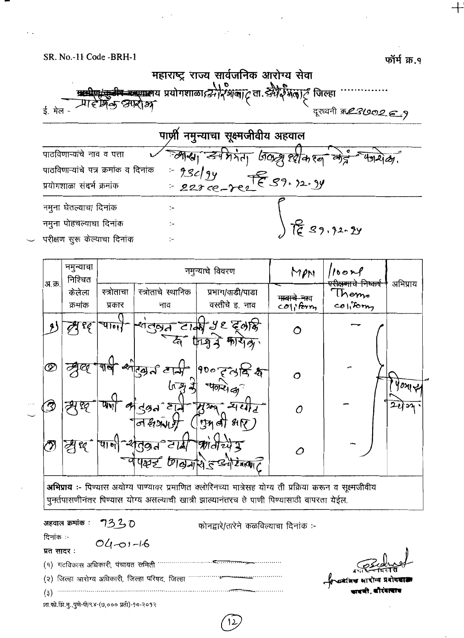SR. No.-11 Code -BRH-1

फॉर्म क्र.१

महाराष्ट्र राज्य सार्वजनिक आरोग्य सेवा प्रामीण करी करणालय प्रयोगशाला द्वीर अंबाट ता. द्वी जिल्हा र्ड मेल -दुरध्वनी क्र*23'002 ∈.* १ पार्णी नमुन्याचा सूक्ष्मजीवीय अहवाल

 $98294$ 

 $\ddot{\phantom{0}}$ 

डर्मेमनेता पिल स्वीक श्ल

<u>ह</u><br>हि ९१.१२-१५

 $2270 - 702$   $729.12.9$ 

पाठविणाऱ्यांचे नाव व पत्ता पाठविणाऱ्यांचे पत्र क्रमांक व दिनांक प्रयोगशाळा संदर्भ क्रमांक नमुना घेतल्याचा दिनांक ţ. नमुना पोहचल्याचा दिनांक  $\ddot{ }$ 

परीक्षण सूरू केल्याचा दिनांक

|  |                | नमुन्याचा<br>निश्चित | नमुन्याचे विवरण      |                                                     | MPN                                          | 100n                    | अभिप्राय                                |     |  |
|--|----------------|----------------------|----------------------|-----------------------------------------------------|----------------------------------------------|-------------------------|-----------------------------------------|-----|--|
|  | अ.क्र.         | केलेला               | स्त्रोताचा           | स्त्रोताचे स्थानिक                                  | प्रभाग/वाडी/पाडा                             | <del>गावाचे ना</del> व  | <del>पराक्षणाचे निष्कर्ष</del><br>Themo |     |  |
|  |                | क्रमोक               | प्रकार               | नाव                                                 | वस्तीचे इ. नाव                               | $co$ $\frac{1}{1}$ form | collform                                |     |  |
|  |                | LÇ                   | चान                  |                                                     | শ্বন্দ তার্ক্ষ ५९ ইঙ্গঙ্ক<br>द्ध मिश्र कारोब | Ο                       |                                         |     |  |
|  | $^\mathscr{D}$ |                      |                      | आरबर टार्म<br>$\mathfrak{ls}$ $\mathfrak{F}$        | 90070078<br>40245                            | Ο                       |                                         | 10x |  |
|  | Ŋ              | জ্                   | प्राण<br>$\bm{\tau}$ | لتراع مهولتي<br>$\overline{\sigma}$ and             | समात<br><b>M209</b><br>ुम बी भ $\nabla$ )    | 0                       |                                         | 243 |  |
|  | O)             | ट्टी ध्र             | पान                  | $\overline{39d}$ $\leq$ lal<br>पेपल्ल्ड मित्रमेशेडड | $Md$ $243$<br>424910                         | Ο                       |                                         |     |  |

अभिप्राय :- पिण्यास अयोग्य पाण्यावर प्रमाणित क्लोरिनच्या मात्रेसह योग्य ती प्रक्रिया करून व सूक्ष्मजीवीय ्<br>पुनर्तपासणीनंतर पिण्यास योग्य असल्याची खात्री झाल्यानंतरच ते पाणी पिण्यासाठी वापरता येईल.

अहवाल क्रमांक : 7320 फोनद्वारे/तारेने कळविल्याचा दिनांक :-टिनांक :- $04 - 01 - 16$ प्रत सादर:  $(9)$  गटविकास अधिकारी, पंचायत समिती ……………… (२) जिल्हा आरोग्य अधिकारी, जिल्हा परिषद, जिल्हा  $(3)$ 

शा.को.झि.मु.,पुणे-पी/९४-(७,००० प्रती)-१०-२०१२